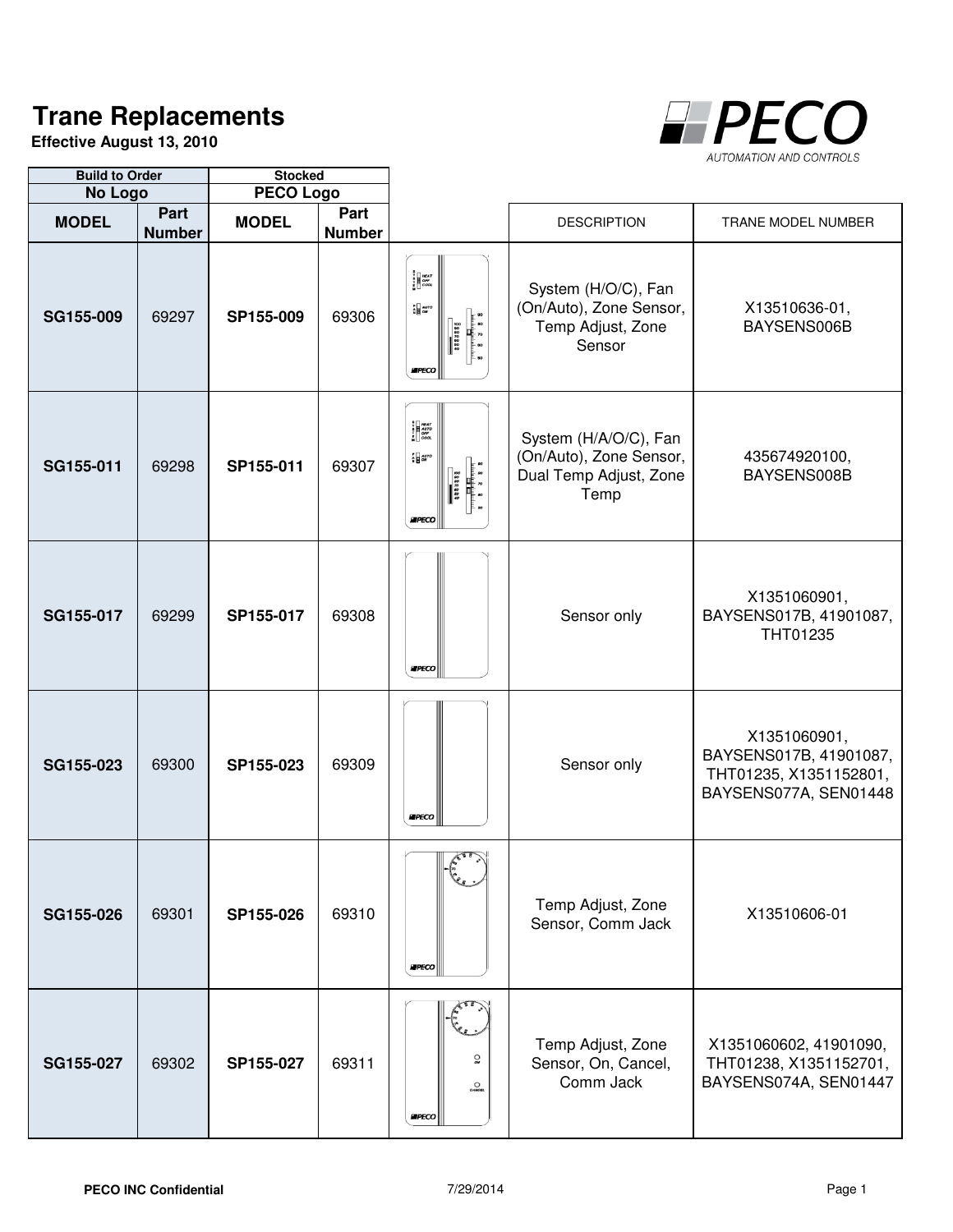## **Trane Replacements**

**Effective August 13, 2010**



| <b>Build to Order</b> |                       | <b>Stocked</b>   |                       |                                                                                                                                                                                                                                                                                                                                                                                                                         |                                                                                    |                                                                                           |
|-----------------------|-----------------------|------------------|-----------------------|-------------------------------------------------------------------------------------------------------------------------------------------------------------------------------------------------------------------------------------------------------------------------------------------------------------------------------------------------------------------------------------------------------------------------|------------------------------------------------------------------------------------|-------------------------------------------------------------------------------------------|
| No Logo               |                       | <b>PECO Logo</b> |                       |                                                                                                                                                                                                                                                                                                                                                                                                                         |                                                                                    |                                                                                           |
| <b>MODEL</b>          | Part<br><b>Number</b> | <b>MODEL</b>     | Part<br><b>Number</b> |                                                                                                                                                                                                                                                                                                                                                                                                                         | <b>DESCRIPTION</b>                                                                 | TRANE MODEL NUMBER                                                                        |
| SG155-009             | 69297                 | SP155-009        | 69306                 | $\begin{bmatrix} 8 \\ 8 \\ 1 \\ 1 \\ 6 \end{bmatrix} \begin{bmatrix} \text{MEAT} \\ \text{OFT} \\ \text{OFG} \\ \text{EFG} \end{bmatrix}$<br>$\frac{1}{N}$ auro<br>s<br>Santana<br>Sa<br>388388<br>8<br>8<br>8<br>EIPECO                                                                                                                                                                                                | System (H/O/C), Fan<br>(On/Auto), Zone Sensor,<br>Temp Adjust, Zone<br>Sensor      | X13510636-01,<br>BAYSENS006B                                                              |
| SG155-011             | 69298                 | SP155-011        | 69307                 | <b>B</b><br><b>B</b><br><b>F</b><br><b>COOL</b><br>$\frac{1}{N}$ agro<br>$\begin{array}{c cc} 0 & 0 & 0 & 0 \\ 0 & 0 & 0 & 0 \\ 0 & 0 & 0 & 0 \\ 0 & 0 & 0 & 0 \\ 0 & 0 & 0 & 0 \\ 0 & 0 & 0 & 0 \\ 0 & 0 & 0 & 0 \\ 0 & 0 & 0 & 0 \\ 0 & 0 & 0 & 0 \\ 0 & 0 & 0 & 0 \\ 0 & 0 & 0 & 0 \\ 0 & 0 & 0 & 0 \\ 0 & 0 & 0 & 0 & 0 \\ 0 & 0 & 0 & 0 & 0 \\ 0 & 0 & 0 & 0 & 0 \\ 0 & 0 & 0 & 0 & 0 & 0 \\ 0 & $<br><b>EPECO</b> | System (H/A/O/C), Fan<br>(On/Auto), Zone Sensor,<br>Dual Temp Adjust, Zone<br>Temp | 435674920100,<br>BAYSENS008B                                                              |
| SG155-017             | 69299                 | SP155-017        | 69308                 | <b>EPECO</b>                                                                                                                                                                                                                                                                                                                                                                                                            | Sensor only                                                                        | X1351060901,<br>BAYSENS017B, 41901087,<br>THT01235                                        |
| SG155-023             | 69300                 | SP155-023        | 69309                 | <b>EPECO</b>                                                                                                                                                                                                                                                                                                                                                                                                            | Sensor only                                                                        | X1351060901,<br>BAYSENS017B, 41901087,<br>THT01235, X1351152801,<br>BAYSENS077A, SEN01448 |
| SG155-026             | 69301                 | SP155-026        | 69310                 | $\leftarrow$<br><b>EPECO</b>                                                                                                                                                                                                                                                                                                                                                                                            | Temp Adjust, Zone<br>Sensor, Comm Jack                                             | X13510606-01                                                                              |
| SG155-027             | 69302                 | SP155-027        | 69311                 | $\Omega_{\text{av}}$<br>$\underset{\text{CMVCEL}}{\bigcirc}$<br><b>EIPECO</b>                                                                                                                                                                                                                                                                                                                                           | Temp Adjust, Zone<br>Sensor, On, Cancel,<br>Comm Jack                              | X1351060602, 41901090,<br>THT01238, X1351152701,<br>BAYSENS074A, SEN01447                 |